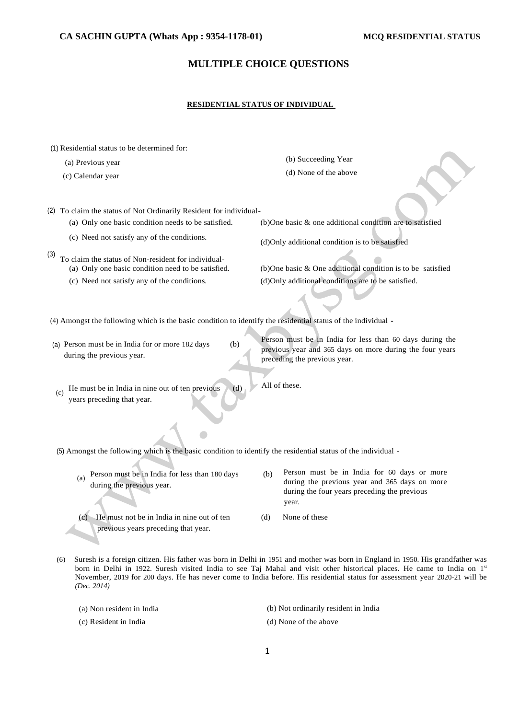# **MULTIPLE CHOICE QUESTIONS**

### **RESIDENTIAL STATUS OF INDIVIDUAL**

| (1) Residential status to be determined for:                                                                                                                    |                                                                                                                                                                                                                                                          |
|-----------------------------------------------------------------------------------------------------------------------------------------------------------------|----------------------------------------------------------------------------------------------------------------------------------------------------------------------------------------------------------------------------------------------------------|
| (a) Previous year                                                                                                                                               | (b) Succeeding Year                                                                                                                                                                                                                                      |
| (c) Calendar year                                                                                                                                               | (d) None of the above                                                                                                                                                                                                                                    |
| (2) To claim the status of Not Ordinarily Resident for individual-                                                                                              |                                                                                                                                                                                                                                                          |
| (a) Only one basic condition needs to be satisfied.                                                                                                             | $(b)$ One basic $\&$ one additional condition are to satisfied                                                                                                                                                                                           |
| (c) Need not satisfy any of the conditions.                                                                                                                     | (d)Only additional condition is to be satisfied                                                                                                                                                                                                          |
| (3)<br>To claim the status of Non-resident for individual-<br>(a) Only one basic condition need to be satisfied.<br>(c) Need not satisfy any of the conditions. | (b) One basic $\&$ One additional condition is to be satisfied<br>(d)Only additional conditions are to be satisfied.                                                                                                                                     |
|                                                                                                                                                                 |                                                                                                                                                                                                                                                          |
| (4) Amongst the following which is the basic condition to identify the residential status of the individual -                                                   |                                                                                                                                                                                                                                                          |
| (a) Person must be in India for or more 182 days<br>(b)<br>during the previous year.                                                                            | Person must be in India for less than 60 days during the<br>previous year and 365 days on more during the four years<br>preceding the previous year.                                                                                                     |
| He must be in India in nine out of ten previous<br>(d)<br>(c)<br>years preceding that year.                                                                     | All of these.                                                                                                                                                                                                                                            |
| (5) Amongst the following which is the basic condition to identify the residential status of the individual -                                                   |                                                                                                                                                                                                                                                          |
| Person must be in India for less than 180 days<br>(a)<br>during the previous year.                                                                              | Person must be in India for 60 days or more<br>(b)<br>during the previous year and 365 days on more<br>during the four years preceding the previous<br>year.                                                                                             |
| He must not be in India in nine out of ten<br>(c)<br>previous years preceding that year.                                                                        | None of these<br>(d)                                                                                                                                                                                                                                     |
| (6)                                                                                                                                                             | Suresh is a foreign citizen. His father was born in Delhi in 1951 and mother was born in England in 1950. His grandfather was<br>born in Delhi in 1922. Suresh visited India to see Taj Mahal and visit other historical places. He came to India on 1st |

(a) Non resident in India

(c) Resident in India

*(Dec. 2014)* 

(b) Not ordinarily resident in India

(d) None of the above

November, 2019 for 200 days. He has never come to India before. His residential status for assessment year 2020-21 will be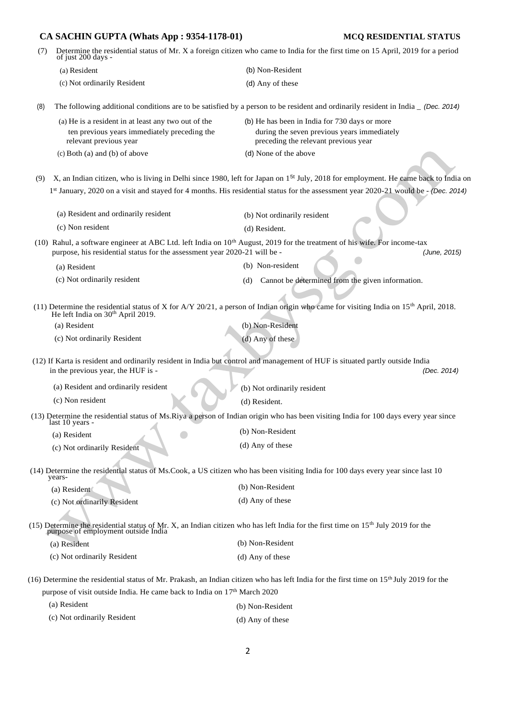| (7) |                                                                                                                               | Determine the residential status of Mr. X a foreign citizen who came to India for the first time on 15 April, 2019 for a period of just 200 days -                      |
|-----|-------------------------------------------------------------------------------------------------------------------------------|-------------------------------------------------------------------------------------------------------------------------------------------------------------------------|
|     | (a) Resident                                                                                                                  | (b) Non-Resident                                                                                                                                                        |
|     | (c) Not ordinarily Resident                                                                                                   | (d) Any of these                                                                                                                                                        |
| (8) |                                                                                                                               | The following additional conditions are to be satisfied by a person to be resident and ordinarily resident in India _ (Dec. 2014)                                       |
|     | (a) He is a resident in at least any two out of the<br>ten previous years immediately preceding the<br>relevant previous year | (b) He has been in India for 730 days or more<br>during the seven previous years immediately<br>preceding the relevant previous year                                    |
|     | $(c)$ Both $(a)$ and $(b)$ of above                                                                                           | (d) None of the above                                                                                                                                                   |
| (9) |                                                                                                                               | X, an Indian citizen, who is living in Delhi since 1980, left for Japan on 1 <sup>5t</sup> July, 2018 for employment. He came back to India on                          |
|     |                                                                                                                               | 1st January, 2020 on a visit and stayed for 4 months. His residential status for the assessment year 2020-21 would be - (Dec. 2014)                                     |
|     | (a) Resident and ordinarily resident                                                                                          |                                                                                                                                                                         |
|     | (c) Non resident                                                                                                              | (b) Not ordinarily resident<br>(d) Resident.                                                                                                                            |
|     |                                                                                                                               |                                                                                                                                                                         |
|     | purpose, his residential status for the assessment year 2020-21 will be -                                                     | (10) Rahul, a software engineer at ABC Ltd. left India on $10th$ August, 2019 for the treatment of his wife. For income-tax<br>(June, 2015)                             |
|     | (a) Resident                                                                                                                  | (b) Non-resident                                                                                                                                                        |
|     | (c) Not ordinarily resident                                                                                                   | Cannot be determined from the given information.<br>(d)                                                                                                                 |
|     |                                                                                                                               |                                                                                                                                                                         |
|     | He left India on 30 <sup>th</sup> April 2019.                                                                                 | (11) Determine the residential status of X for A/Y 20/21, a person of Indian origin who came for visiting India on $15th$ April, 2018.                                  |
|     | (a) Resident                                                                                                                  | (b) Non-Resident                                                                                                                                                        |
|     | (c) Not ordinarily Resident                                                                                                   | (d) Any of these                                                                                                                                                        |
|     | in the previous year, the HUF is -                                                                                            | (12) If Karta is resident and ordinarily resident in India but control and management of HUF is situated partly outside India<br>(Dec. 2014)                            |
|     | (a) Resident and ordinarily resident                                                                                          | (b) Not ordinarily resident                                                                                                                                             |
|     | (c) Non resident                                                                                                              | (d) Resident.                                                                                                                                                           |
|     |                                                                                                                               | (13) Determine the residential status of Ms. Riya a person of Indian origin who has been visiting India for 100 days every year since                                   |
|     | last 10 years -                                                                                                               | (b) Non-Resident                                                                                                                                                        |
|     | (a) Resident<br>(c) Not ordinarily Resident                                                                                   | (d) Any of these                                                                                                                                                        |
|     |                                                                                                                               |                                                                                                                                                                         |
|     | years-                                                                                                                        | (14) Determine the residential status of Ms.Cook, a US citizen who has been visiting India for 100 days every year since last 10                                        |
|     | (a) Resident                                                                                                                  | (b) Non-Resident                                                                                                                                                        |
|     | (c) Not ordinarily Resident                                                                                                   | (d) Any of these                                                                                                                                                        |
|     |                                                                                                                               | (15) Determine the residential status of Mr. X, an Indian citizen who has left India for the first time on $15th$ July 2019 for the purpose of employment outside India |
|     | (a) Resident                                                                                                                  | (b) Non-Resident                                                                                                                                                        |
|     | (c) Not ordinarily Resident                                                                                                   | (d) Any of these                                                                                                                                                        |
|     |                                                                                                                               | (16) Determine the residential status of Mr. Prakash, an Indian citizen who has left India for the first time on 15 <sup>th</sup> July 2019 for the                     |
|     | purpose of visit outside India. He came back to India on 17th March 2020                                                      |                                                                                                                                                                         |
|     | (a) Resident                                                                                                                  | (b) Non-Resident                                                                                                                                                        |
|     | (c) Not ordinarily Resident                                                                                                   | (d) Any of these                                                                                                                                                        |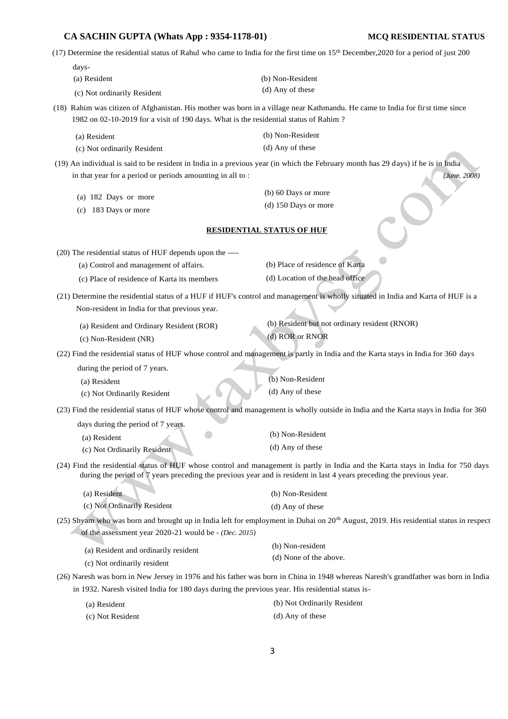| CA SACHIN GUPTA (Whats App: 9354-1178-01)                                                                                                                                                                             |                                               | MCQ RESIDENTIAL STATUS |
|-----------------------------------------------------------------------------------------------------------------------------------------------------------------------------------------------------------------------|-----------------------------------------------|------------------------|
| (17) Determine the residential status of Rahul who came to India for the first time on 15 <sup>th</sup> December, 2020 for a period of just 200                                                                       |                                               |                        |
| days-                                                                                                                                                                                                                 |                                               |                        |
| (a) Resident                                                                                                                                                                                                          | (b) Non-Resident                              |                        |
| (c) Not ordinarily Resident                                                                                                                                                                                           | (d) Any of these                              |                        |
| (18) Rahim was citizen of Afghanistan. His mother was born in a village near Kathmandu. He came to India for first time since<br>1982 on 02-10-2019 for a visit of 190 days. What is the residential status of Rahim? |                                               |                        |
| (a) Resident                                                                                                                                                                                                          | (b) Non-Resident                              |                        |
| (c) Not ordinarily Resident                                                                                                                                                                                           | (d) Any of these                              |                        |
| (19) An individual is said to be resident in India in a previous year (in which the February month has 29 days) if he is in India<br>in that year for a period or periods amounting in all to:                        |                                               | (June, 2008)           |
| (a) 182 Days or more                                                                                                                                                                                                  | (b) 60 Days or more                           |                        |
| 183 Days or more<br>(c)                                                                                                                                                                                               | $(d)$ 150 Days or more                        |                        |
|                                                                                                                                                                                                                       | <b>RESIDENTIAL STATUS OF HUF</b>              |                        |
| (20) The residential status of HUF depends upon the ----                                                                                                                                                              |                                               |                        |
| (a) Control and management of affairs.                                                                                                                                                                                | (b) Place of residence of Karta               |                        |
| (c) Place of residence of Karta its members                                                                                                                                                                           | (d) Location of the head office               |                        |
| (21) Determine the residential status of a HUF if HUF's control and management is wholly situated in India and Karta of HUF is a                                                                                      |                                               |                        |
| Non-resident in India for that previous year.                                                                                                                                                                         |                                               |                        |
| (a) Resident and Ordinary Resident (ROR)                                                                                                                                                                              | (b) Resident but not ordinary resident (RNOR) |                        |

(c) Non-Resident (NR)

(d) ROR or RNOR

(22) Find the residential status of HUF whose control and management is partly in India and the Karta stays in India for 360 days

during the period of 7 years.

(a) Resident (c) Not Ordinarily Resident (b) Non-Resident (d) Any of these

(23) Find the residential status of HUF whose control and management is wholly outside in India and the Karta stays in India for 360

days during the period of 7 years.

- $\bigcirc$ (b) Non-Resident (a) Resident (d) Any of these (c) Not Ordinarily Resident
- (24) Find the residential status of HUF whose control and management is partly in India and the Karta stays in India for 750 days during the period of 7 years preceding the previous year and is resident in last 4 years preceding the previous year.

| (a) Resident                | (b) Non-Resident |
|-----------------------------|------------------|
| (c) Not Ordinarily Resident | (d) Any of these |

(25) Shyam who was born and brought up in India left for employment in Dubai on 20<sup>th</sup> August, 2019. His residential status in respect of the assessment year 2020-21 would be - *(Dec. 2015)* 

| (a) Resident and ordinarily resident<br>(c) Not ordinarily resident | (b) Non-resident       |
|---------------------------------------------------------------------|------------------------|
|                                                                     | (d) None of the above. |
|                                                                     |                        |

(26) Naresh was born in New Jersey in 1976 and his father was born in China in 1948 whereas Naresh's grandfather was born in India in 1932. Naresh visited India for 180 days during the previous year. His residential status is-

| (a) Resident     | (b) Not Ordinarily Resident |
|------------------|-----------------------------|
| (c) Not Resident | (d) Any of these            |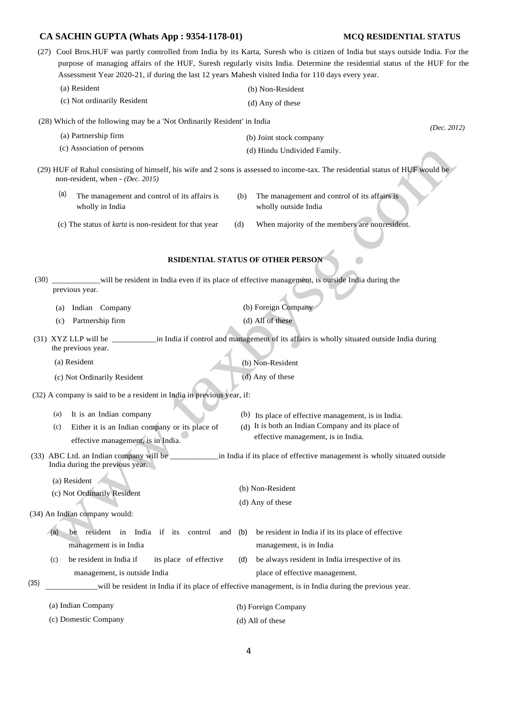|      | CA SACHIN GUPTA (Whats App : 9354-1178-01)                                                                                                                                                                                                                                                                                                                            |                                                                                                                                                | MCQ RESIDENTIAL STATUS |
|------|-----------------------------------------------------------------------------------------------------------------------------------------------------------------------------------------------------------------------------------------------------------------------------------------------------------------------------------------------------------------------|------------------------------------------------------------------------------------------------------------------------------------------------|------------------------|
|      | (27) Cool Bros.HUF was partly controlled from India by its Karta, Suresh who is citizen of India but stays outside India. For the<br>purpose of managing affairs of the HUF, Suresh regularly visits India. Determine the residential status of the HUF for the<br>Assessment Year 2020-21, if during the last 12 years Mahesh visited India for 110 days every year. |                                                                                                                                                |                        |
|      | (a) Resident                                                                                                                                                                                                                                                                                                                                                          | (b) Non-Resident                                                                                                                               |                        |
|      | (c) Not ordinarily Resident                                                                                                                                                                                                                                                                                                                                           | (d) Any of these                                                                                                                               |                        |
|      | (28) Which of the following may be a 'Not Ordinarily Resident' in India                                                                                                                                                                                                                                                                                               |                                                                                                                                                |                        |
|      | (a) Partnership firm                                                                                                                                                                                                                                                                                                                                                  | (b) Joint stock company                                                                                                                        | (Dec. 2012)            |
|      | (c) Association of persons                                                                                                                                                                                                                                                                                                                                            | (d) Hindu Undivided Family.                                                                                                                    |                        |
|      | (29) HUF of Rahul consisting of himself, his wife and 2 sons is assessed to income-tax. The residential status of HUF would be<br>non-resident, when - (Dec. 2015)                                                                                                                                                                                                    |                                                                                                                                                |                        |
|      | (a)<br>The management and control of its affairs is<br>wholly in India                                                                                                                                                                                                                                                                                                | (b)<br>The management and control of its affairs is<br>wholly outside India                                                                    |                        |
|      | (c) The status of karta is non-resident for that year                                                                                                                                                                                                                                                                                                                 | When majority of the members are nonresident.<br>(d)                                                                                           |                        |
|      |                                                                                                                                                                                                                                                                                                                                                                       | <b>RSIDENTIAL STATUS OF OTHER PERSON</b>                                                                                                       |                        |
| (30) | previous year.                                                                                                                                                                                                                                                                                                                                                        | will be resident in India even if its place of effective management, is outside India during the                                               |                        |
|      | Indian Company<br>(a)                                                                                                                                                                                                                                                                                                                                                 | (b) Foreign Company                                                                                                                            |                        |
|      | Partnership firm<br>(c)                                                                                                                                                                                                                                                                                                                                               | (d) All of these                                                                                                                               |                        |
|      | $(31)$ XYZ LLP will be<br>the previous year.                                                                                                                                                                                                                                                                                                                          | in India if control and management of its affairs is wholly situated outside India during                                                      |                        |
|      | (a) Resident                                                                                                                                                                                                                                                                                                                                                          | (b) Non-Resident                                                                                                                               |                        |
|      | (c) Not Ordinarily Resident                                                                                                                                                                                                                                                                                                                                           | $(d)$ Any of these                                                                                                                             |                        |
|      | (32) A company is said to be a resident in India in previous year, if:                                                                                                                                                                                                                                                                                                |                                                                                                                                                |                        |
|      | It is an Indian company<br>(a)<br>Either it is an Indian company or its place of<br>(c)<br>effective management, is in India.                                                                                                                                                                                                                                         | (b) Its place of effective management, is in India.<br>(d) It is both an Indian Company and its place of<br>effective management, is in India. |                        |
|      | (33) ABC Ltd. an Indian company will be ___________<br>in India if its place of effective management is wholly situated outside<br>India during the previous year.                                                                                                                                                                                                    |                                                                                                                                                |                        |
|      | (a) Resident<br>(c) Not Ordinarily Resident                                                                                                                                                                                                                                                                                                                           | (b) Non-Resident<br>(d) Any of these                                                                                                           |                        |
|      | (34) An Indian company would:                                                                                                                                                                                                                                                                                                                                         |                                                                                                                                                |                        |
|      | resident in India if its control<br>be<br>(a)<br>management is in India                                                                                                                                                                                                                                                                                               | be resident in India if its its place of effective<br>and<br>(b)<br>management, is in India                                                    |                        |
|      | be resident in India if<br>its place of effective<br>(c)                                                                                                                                                                                                                                                                                                              | be always resident in India irrespective of its<br>(d)                                                                                         |                        |
|      | management, is outside India                                                                                                                                                                                                                                                                                                                                          | place of effective management.                                                                                                                 |                        |
| (35) | will be resident in India if its place of effective management, is in India during the previous year.                                                                                                                                                                                                                                                                 |                                                                                                                                                |                        |
|      | (a) Indian Company                                                                                                                                                                                                                                                                                                                                                    | (b) Foreign Company                                                                                                                            |                        |

(d) All of these

(c) Domestic Company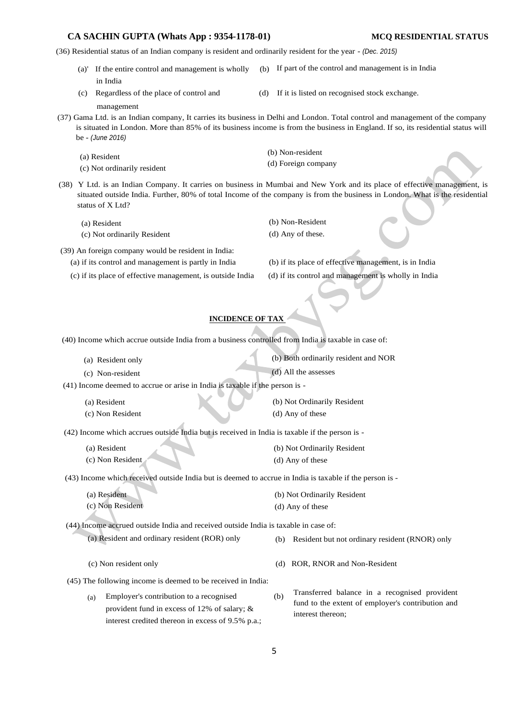(36) Residential status of an Indian company is resident and ordinarily resident for the year - *(Dec. 2015)* 

- $(a)$ <sup>'</sup> If the entire control and management is wholly in India If part of the control and management is in India
- 
- (c) Regardless of the place of control and (d) If it is listed on recognised stock exchange.

management

- (37) Gama Ltd. is an Indian company, It carries its business in Delhi and London. Total control and management of the company is situated in London. More than 85% of its business income is from the business in England. If so, its residential status will be - *(June 2016)* 
	- (a) Resident
	- (c) Not ordinarily resident

(b) Non-resident (d) Foreign company

- (38) Y Ltd. is an Indian Company. It carries on business in Mumbai and New York and its place of effective management, is situated outside India. Further, 80% of total Income of the company is from the business in London. What is the residential status of X Ltd?
	- (a) Resident
	- (c) Not ordinarily Resident
- (39) An foreign company would be resident in India:
	-
	- (c) if its place of effective management, is outside India (d) if its control and management is wholly in India
- (b) Non-Resident (d) Any of these.

(a) if its control and management is partly in India (b) if its place of effective management, is in India

## **INCIDENCE OF TAX**

(40) Income which accrue outside India from a business controlled from India is taxable in case of:

- (a) Resident only (b) Both ordinarily resident and NOR
- (c) Non-resident (d) All the assesses

(41) Income deemed to accrue or arise in India is taxable if the person is -

- (a) Resident
- (c) Non Resident

(b) Not Ordinarily Resident (d) Any of these

(d) Any of these

(42) Income which accrues outside India but is received in India is taxable if the person is -

- (a) Resident (b) Not Ordinarily Resident
- (c) Non Resident

(43) Income which received outside India but is deemed to accrue in India is taxable if the person is -

(a) Resident (c) Non Resident (b) Not Ordinarily Resident (d) Any of these

(44) Income accrued outside India and received outside India is taxable in case of:

- (a) Resident and ordinary resident (ROR) only
- (c) Non resident only
- 
- (45) The following income is deemed to be received in India:
	- (a) Employer's contribution to a recognised (b) provident fund in excess of 12% of salary; & interest credited thereon in excess of 9.5% p.a.;
- Transferred balance in a recognised provident fund to the extent of employer's contribution and interest thereon;

(b) Resident but not ordinary resident (RNOR) only

(d) ROR, RNOR and Non-Resident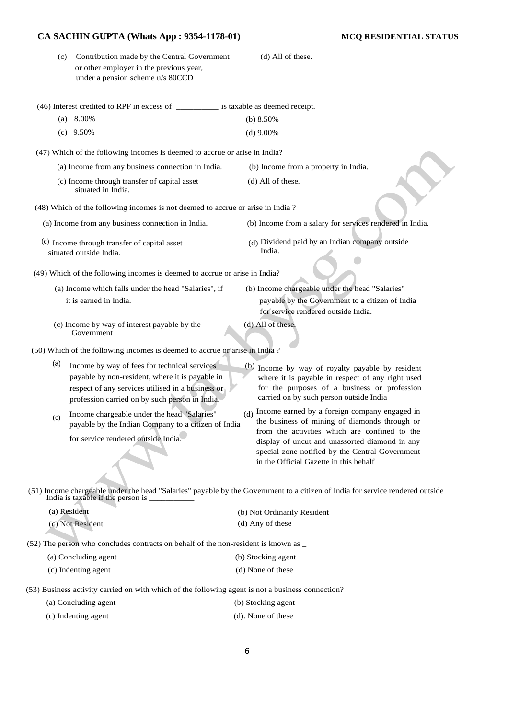| (c) Contribution made by the Central Government |
|-------------------------------------------------|
| or other employer in the previous year,         |
| under a pension scheme u/s 80CCD                |

(46) Interest credited to RPF in excess of \_\_\_\_\_\_\_\_\_\_ is taxable as deemed receipt. (a) 8.00% (c) 9.50% (b) 8.50% (d) 9.00% (47) Which of the following incomes is deemed to accrue or arise in India? (a) Income from any business connection in India. (b) Income from a property in India. (c) Income through transfer of capital asset (d) All of these. situated in India. (48) Which of the following incomes is not deemed to accrue or arise in India ? (a) Income from any business connection in India. (b) Income from a salary for services rendered in India. (c) Income through transfer of capital asset (d) situated outside India. Dividend paid by an Indian company outside India. (49) Which of the following incomes is deemed to accrue or arise in India? (a) Income which falls under the head "Salaries", if (b) Income chargeable under the head "Salaries" it is earned in India. payable by the Government to a citizen of India for service rendered outside India. (c) Income by way of interest payable by the (d) All of these. Government (50) Which of the following incomes is deemed to accrue or arise in India ? (a) Income by way of fees for technical services payable by non-resident, where it is payable in respect of any services utilised in a business or (b) Income by way of royalty payable by resident

Income chargeable under the head "Salaries" payable by the Indian Company to a citizen of India for service rendered outside India.  $(c)$ 

profession carried on by such person in India.

where it is payable in respect of any right used for the purposes of a business or profession carried on by such person outside India

 $(d)$  All of these.

Income earned by a foreign company engaged in the business of mining of diamonds through or from the activities which are confined to the display of uncut and unassorted diamond in any special zone notified by the Central Government in the Official Gazette in this behalf

(51) Income chargeable under the head "Salaries" payable by the Government to a citizen of India for service rendered outside India is taxable if the person is \_\_\_\_\_\_\_\_\_\_\_

| (a) Resident     | (b) Not Ordinarily Resident |
|------------------|-----------------------------|
| (c) Not Resident | (d) Any of these            |

(52) The person who concludes contracts on behalf of the non-resident is known as \_

| (a) Concluding agent | (b) Stocking agent |
|----------------------|--------------------|
| (c) Indenting agent  | (d) None of these  |

(53) Business activity carried on with which of the following agent is not a business connection?

| (a) Concluding agent | (b) Stocking agent |
|----------------------|--------------------|
|                      |                    |

| (c) Indenting agent | (d). None of these |
|---------------------|--------------------|
|---------------------|--------------------|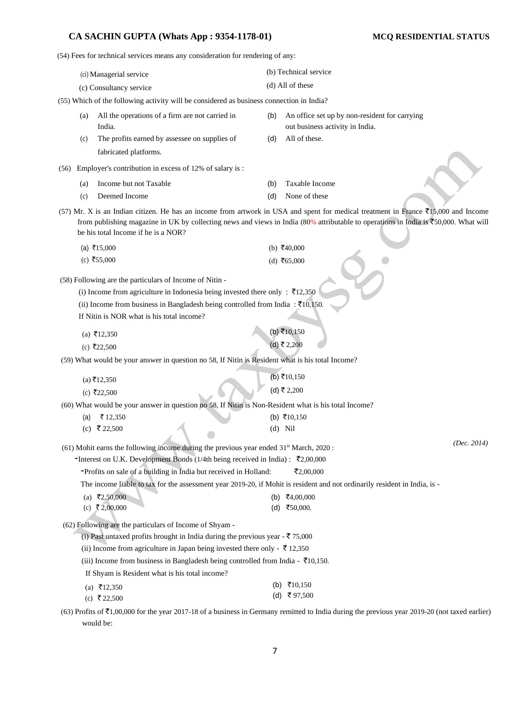(54) Fees for technical services means any consideration for rendering of any:

(ci) Managerial service (c) Consultancy service (b) Technical service (d) All of these (55) Which of the following activity will be considered as business connection in India? (a) All the operations of a firm are not carried in (b) An office set up by non-resident for carrying India. out business activity in India. (c) The profits earned by assessee on supplies of (d) All of these. fabricated platforms. (56) Employer's contribution in excess of 12% of salary is : (a) Income but not Taxable (b) Taxable Income (c) Deemed Income (d) None of these (57) Mr. X is an Indian citizen. He has an income from artwork in USA and spent for medical treatment in France  $\bar{\mathfrak{X}}$ 15,000 and Income from publishing magazine in UK by collecting news and views in India (80% attributable to operations in India is  $\overline{5}50,000$ . What will be his total Income if he is a NOR?  $(a)$  ₹15,000  $(c)$  ₹55,000  $(b)$  ₹40,000  $(d)$  ₹65,000 (58) Following are the particulars of Income of Nitin - (i) Income from agriculture in Indonesia being invested there only :  $\bar{\tau}$ 12,350 (ii) Income from business in Bangladesh being controlled from India :  $\bar{c}10,150$ . If Nitin is NOR what is his total income?  $(a) \overline{5}12,350$  $(c)$  ₹22,500  $(b) \bar{z}$ 10,150  $(d)$  ₹ 2,200 (59) What would be your answer in question no 58, If Nitin is Resident what is his total Income?  $(a) ₹12,350$  $(c)$  ₹22,500  $(b) ₹10,150$ (d) ₹ 2,200 (60) What would be your answer in question no 58, If Nitin is Non-Resident what is his total Income? (a)  $\bar{x}$  12,350 (b)  $\bar{x}$ 10,150 (c)  $\bar{x}$  22,500 (d) Nil (61) Mohit earns the following income during the previous year ended  $31<sup>st</sup>$  March, 2020 : -Interest on U.K. Development Bonds (1/4th being received in India) :  $\bar{\tau}$ 2,00,000  $\blacksquare$ Profits on sale of a building in India but received in Holland:  $\bar{\zeta}$ 2,00,000 The income liable to tax for the assessment year 2019-20, if Mohit is resident and not ordinarily resident in India, is - (a) ₹2,50,000 (b) ₹4,00,000 (c)  $\bar{\xi}$  2,00,000 (d)  $\bar{\xi}$  50,000. *(Dec. 2014)*  (62) Following are the particulars of Income of Shyam - (i) Past untaxed profits brought in India during the previous year -  $\bar{\tau}$  75,000 (ii) Income from agriculture in Japan being invested there only -  $\bar{\tau}$  12,350 (iii) Income from business in Bangladesh being controlled from India -  $\bar{\tau}$ 10,150. If Shyam is Resident what is his total income?  $(a) \quad \overline{5}12,350$ (c) ₹ 22,500  $(b)$  ₹10,150  $(d)$  ₹ 97,500

(63) Profits of  $\bar{\tau}1,00,000$  for the year 2017-18 of a business in Germany remitted to India during the previous year 2019-20 (not taxed earlier) would be: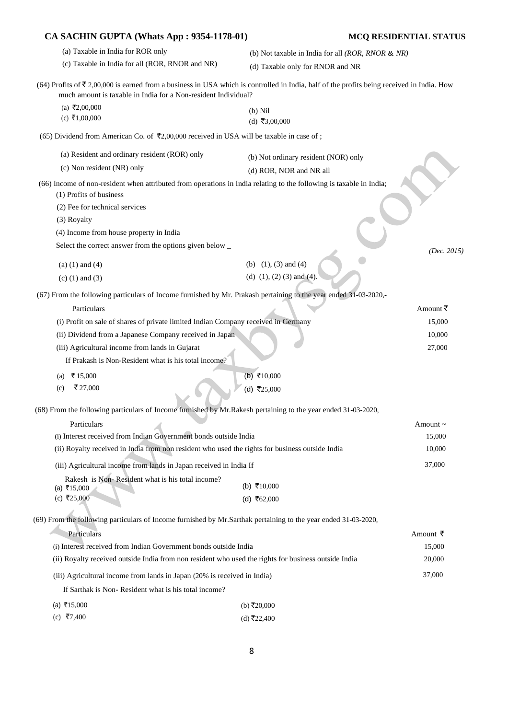| CA SACHIN GUPTA (Whats App : 9354-1178-01)                                                                                                                                                                                  |                                                   | <b>MCQ RESIDENTIAL STATUS</b> |
|-----------------------------------------------------------------------------------------------------------------------------------------------------------------------------------------------------------------------------|---------------------------------------------------|-------------------------------|
| (a) Taxable in India for ROR only                                                                                                                                                                                           | (b) Not taxable in India for all (ROR, RNOR & NR) |                               |
| (c) Taxable in India for all (ROR, RNOR and NR)                                                                                                                                                                             | (d) Taxable only for RNOR and NR                  |                               |
| (64) Profits of $\overline{\xi}$ 2,00,000 is earned from a business in USA which is controlled in India, half of the profits being received in India. How<br>much amount is taxable in India for a Non-resident Individual? |                                                   |                               |
| (a) ₹2,00,000<br>(c) ₹1,00,000                                                                                                                                                                                              | $(b)$ Nil<br>(d) ₹3,00,000                        |                               |
| (65) Dividend from American Co. of ₹2,00,000 received in USA will be taxable in case of ;                                                                                                                                   |                                                   |                               |
| (a) Resident and ordinary resident (ROR) only                                                                                                                                                                               | (b) Not ordinary resident (NOR) only              |                               |
| (c) Non resident (NR) only                                                                                                                                                                                                  | (d) ROR, NOR and NR all                           |                               |
| (66) Income of non-resident when attributed from operations in India relating to the following is taxable in India;<br>(1) Profits of business                                                                              |                                                   |                               |
| (2) Fee for technical services                                                                                                                                                                                              |                                                   |                               |
| (3) Royalty                                                                                                                                                                                                                 |                                                   |                               |
| (4) Income from house property in India                                                                                                                                                                                     |                                                   |                               |
| Select the correct answer from the options given below _                                                                                                                                                                    |                                                   | (Dec. 2015)                   |
| $(a) (1)$ and $(4)$                                                                                                                                                                                                         | (b) $(1)$ , $(3)$ and $(4)$                       |                               |
| $(c)$ (1) and (3)                                                                                                                                                                                                           | (d) $(1)$ , $(2)$ $(3)$ and $(4)$ .               |                               |
|                                                                                                                                                                                                                             |                                                   |                               |
| (67) From the following particulars of Income furnished by Mr. Prakash pertaining to the year ended 31-03-2020,-                                                                                                            |                                                   |                               |
| Particulars                                                                                                                                                                                                                 |                                                   | Amount ₹                      |
| (i) Profit on sale of shares of private limited Indian Company received in Germany                                                                                                                                          |                                                   | 15,000                        |
| (ii) Dividend from a Japanese Company received in Japan                                                                                                                                                                     |                                                   | 10,000                        |
| (iii) Agricultural income from lands in Gujarat                                                                                                                                                                             |                                                   | 27,000                        |
| If Prakash is Non-Resident what is his total income?                                                                                                                                                                        |                                                   |                               |
| ₹15,000<br>(a)                                                                                                                                                                                                              | (b) ₹10,000                                       |                               |
| ₹ 27,000<br>(c)                                                                                                                                                                                                             | (d) ₹25,000                                       |                               |
| (68) From the following particulars of Income furnished by Mr. Rakesh pertaining to the year ended 31-03-2020,                                                                                                              |                                                   |                               |
| Particulars                                                                                                                                                                                                                 |                                                   | Amount~                       |
| (i) Interest received from Indian Government bonds outside India                                                                                                                                                            |                                                   | 15,000                        |
| (ii) Royalty received in India from non resident who used the rights for business outside India                                                                                                                             |                                                   | 10,000                        |
| (iii) Agricultural income from lands in Japan received in India If                                                                                                                                                          |                                                   | 37,000                        |
| Rakesh is Non-Resident what is his total income?<br>(a) ₹15,000                                                                                                                                                             | (b) ₹10,000                                       |                               |
| (c) ₹25,000                                                                                                                                                                                                                 | (d) ₹62,000                                       |                               |
|                                                                                                                                                                                                                             |                                                   |                               |
| (69) From the following particulars of Income furnished by Mr.Sarthak pertaining to the year ended 31-03-2020,                                                                                                              |                                                   |                               |
| Particulars                                                                                                                                                                                                                 |                                                   | Amount ₹                      |
| (i) Interest received from Indian Government bonds outside India                                                                                                                                                            |                                                   | 15,000                        |
| (ii) Royalty received outside India from non resident who used the rights for business outside India                                                                                                                        |                                                   | 20,000                        |
| (iii) Agricultural income from lands in Japan (20% is received in India)                                                                                                                                                    |                                                   | 37,000                        |
| If Sarthak is Non-Resident what is his total income?                                                                                                                                                                        |                                                   |                               |
| (a) ₹15,000                                                                                                                                                                                                                 | (b) ₹20,000                                       |                               |
| (c) ₹7,400                                                                                                                                                                                                                  | (d) ₹22,400                                       |                               |
|                                                                                                                                                                                                                             |                                                   |                               |

# 8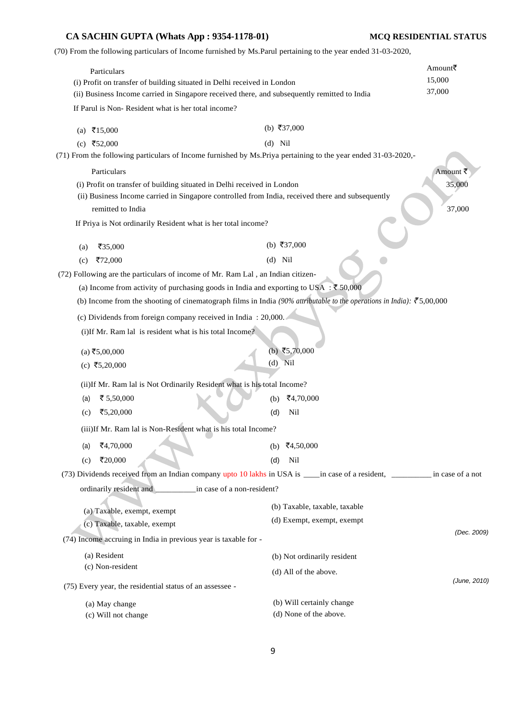(70) From the following particulars of Income furnished by Ms.Parul pertaining to the year ended 31-03-2020,

| Particulars<br>(i) Profit on transfer of building situated in Delhi received in London                                                                                                                                    |                               | Amount₹<br>15,000 |
|---------------------------------------------------------------------------------------------------------------------------------------------------------------------------------------------------------------------------|-------------------------------|-------------------|
| (ii) Business Income carried in Singapore received there, and subsequently remitted to India                                                                                                                              |                               | 37,000            |
| If Parul is Non-Resident what is her total income?                                                                                                                                                                        |                               |                   |
| (a) ₹15,000                                                                                                                                                                                                               | (b) ₹37,000                   |                   |
| (c) ₹52,000                                                                                                                                                                                                               | $(d)$ Nil                     |                   |
| (71) From the following particulars of Income furnished by Ms. Priya pertaining to the year ended 31-03-2020,-                                                                                                            |                               |                   |
| Particulars                                                                                                                                                                                                               |                               | Amount ₹          |
| (i) Profit on transfer of building situated in Delhi received in London                                                                                                                                                   |                               | 35,000            |
| (ii) Business Income carried in Singapore controlled from India, received there and subsequently                                                                                                                          |                               |                   |
| remitted to India                                                                                                                                                                                                         |                               | 37,000            |
| If Priya is Not ordinarily Resident what is her total income?                                                                                                                                                             |                               |                   |
| ₹35,000                                                                                                                                                                                                                   | (b) ₹37,000                   |                   |
| (a)                                                                                                                                                                                                                       | $(d)$ Nil                     |                   |
| ₹72,000<br>(c)                                                                                                                                                                                                            |                               |                   |
| (72) Following are the particulars of income of Mr. Ram Lal, an Indian citizen-                                                                                                                                           |                               |                   |
| (a) Income from activity of purchasing goods in India and exporting to USA : ₹50,000<br>(b) Income from the shooting of cinematograph films in India (90% attributable to the operations in India): $\bar{\tau}$ 5,00,000 |                               |                   |
|                                                                                                                                                                                                                           |                               |                   |
| (c) Dividends from foreign company received in India: 20,000.                                                                                                                                                             |                               |                   |
| (i)If Mr. Ram lal is resident what is his total Income?                                                                                                                                                                   |                               |                   |
| $(a)$ ₹5,00,000                                                                                                                                                                                                           | (b) ₹5,70,000                 |                   |
| (c) ₹5,20,000                                                                                                                                                                                                             | $(d)$ Nil                     |                   |
|                                                                                                                                                                                                                           |                               |                   |
| (ii) If Mr. Ram lal is Not Ordinarily Resident what is his total Income?                                                                                                                                                  |                               |                   |
| ₹ 5,50,000<br>(a)                                                                                                                                                                                                         | ₹4,70,000<br>(b)              |                   |
| ₹5,20,000<br>(c)                                                                                                                                                                                                          | (d)<br>Nil                    |                   |
| (iii)If Mr. Ram lal is Non-Resident what is his total Income?                                                                                                                                                             |                               |                   |
| ₹4,70,000<br>(a)                                                                                                                                                                                                          | (b) ₹4,50,000                 |                   |
| ₹20,000<br>(c)                                                                                                                                                                                                            | Nil<br>(d)                    |                   |
| (73) Dividends received from an Indian company upto 10 lakhs in USA is ____in case of a resident, ___________ in case of a not                                                                                            |                               |                   |
| ordinarily resident and _______________ in case of a non-resident?                                                                                                                                                        |                               |                   |
| (a) Taxable, exempt, exempt                                                                                                                                                                                               | (b) Taxable, taxable, taxable |                   |
| (c) Taxable, taxable, exempt                                                                                                                                                                                              | (d) Exempt, exempt, exempt    |                   |
| (74) Income accruing in India in previous year is taxable for -                                                                                                                                                           |                               | (Dec. 2009)       |
| (a) Resident                                                                                                                                                                                                              |                               |                   |
| (c) Non-resident                                                                                                                                                                                                          | (b) Not ordinarily resident   |                   |
|                                                                                                                                                                                                                           | (d) All of the above.         | (June, 2010)      |
| (75) Every year, the residential status of an assessee -                                                                                                                                                                  |                               |                   |
| (a) May change                                                                                                                                                                                                            | (b) Will certainly change     |                   |
| (c) Will not change                                                                                                                                                                                                       | (d) None of the above.        |                   |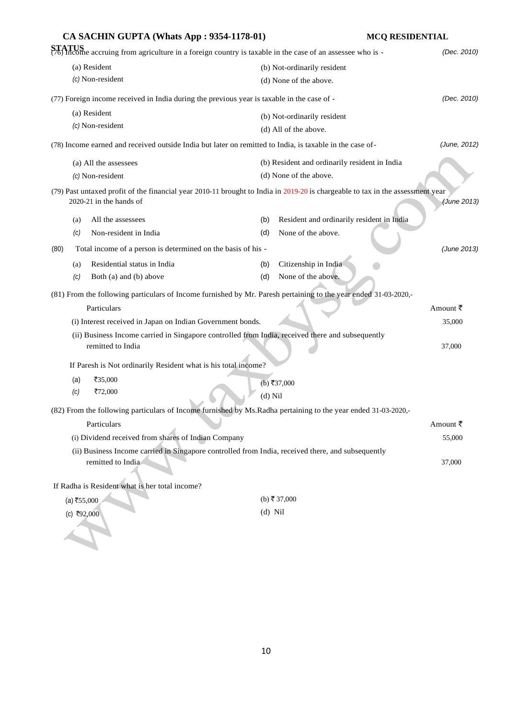|                  | CA SACHIN GUPTA (Whats App: 9354-1178-01)                                                  |                                                                                                                                | <b>MCQ RESIDENTIAL</b> |  |
|------------------|--------------------------------------------------------------------------------------------|--------------------------------------------------------------------------------------------------------------------------------|------------------------|--|
|                  |                                                                                            | STATUS<br>(76) Income accruing from agriculture in a foreign country is taxable in the case of an assessee who is -            | (Dec. 2010)            |  |
|                  | (a) Resident                                                                               | (b) Not-ordinarily resident                                                                                                    |                        |  |
|                  | (c) Non-resident                                                                           | (d) None of the above.                                                                                                         |                        |  |
|                  | (77) Foreign income received in India during the previous year is taxable in the case of - |                                                                                                                                | (Dec. 2010)            |  |
|                  | (a) Resident                                                                               | (b) Not-ordinarily resident                                                                                                    |                        |  |
| (c) Non-resident |                                                                                            | (d) All of the above.                                                                                                          |                        |  |
|                  |                                                                                            | (78) Income earned and received outside India but later on remitted to India, is taxable in the case of-                       | (June, 2012)           |  |
|                  | (a) All the assessees                                                                      | (b) Resident and ordinarily resident in India                                                                                  |                        |  |
|                  | (c) Non-resident                                                                           | (d) None of the above.                                                                                                         |                        |  |
|                  | 2020-21 in the hands of                                                                    | (79) Past untaxed profit of the financial year 2010-11 brought to India in 2019-20 is chargeable to tax in the assessment year | (June 2013)            |  |
|                  |                                                                                            |                                                                                                                                |                        |  |
| (a)              | All the assessees                                                                          | Resident and ordinarily resident in India<br>(b)                                                                               |                        |  |
| (c)              | Non-resident in India                                                                      | None of the above.<br>(d)                                                                                                      |                        |  |
| (80)             | Total income of a person is determined on the basis of his -                               |                                                                                                                                | (June 2013)            |  |
| (a)              | Residential status in India                                                                | Citizenship in India<br>(b)                                                                                                    |                        |  |
| (c)              | Both (a) and (b) above                                                                     | None of the above.<br>(d)                                                                                                      |                        |  |
|                  |                                                                                            | (81) From the following particulars of Income furnished by Mr. Paresh pertaining to the year ended 31-03-2020,-                |                        |  |
|                  | Particulars                                                                                |                                                                                                                                | Amount ₹               |  |
|                  | (i) Interest received in Japan on Indian Government bonds.                                 |                                                                                                                                | 35,000                 |  |
|                  | remitted to India                                                                          | (ii) Business Income carried in Singapore controlled from India, received there and subsequently                               | 37,000                 |  |
|                  | If Paresh is Not ordinarily Resident what is his total income?                             |                                                                                                                                |                        |  |
| (a)              | ₹35,000                                                                                    | $(b)$ ₹37,000                                                                                                                  |                        |  |
| (c)              | ₹72,000                                                                                    | $(d)$ Nil                                                                                                                      |                        |  |
|                  |                                                                                            | (82) From the following particulars of Income furnished by Ms. Radha pertaining to the year ended 31-03-2020,-                 |                        |  |
|                  | Particulars                                                                                |                                                                                                                                | Amount ₹               |  |
|                  | (i) Dividend received from shares of Indian Company                                        |                                                                                                                                | 55,000                 |  |
|                  |                                                                                            | (ii) Business Income carried in Singapore controlled from India, received there, and subsequently                              |                        |  |
|                  | remitted to India                                                                          |                                                                                                                                | 37,000                 |  |
|                  | If Radha is Resident what is her total income?                                             |                                                                                                                                |                        |  |
| (a) ₹55,000      |                                                                                            | (b) ₹ 37,000                                                                                                                   |                        |  |
| $(c)$ ₹92,000    |                                                                                            | $(d)$ Nil                                                                                                                      |                        |  |